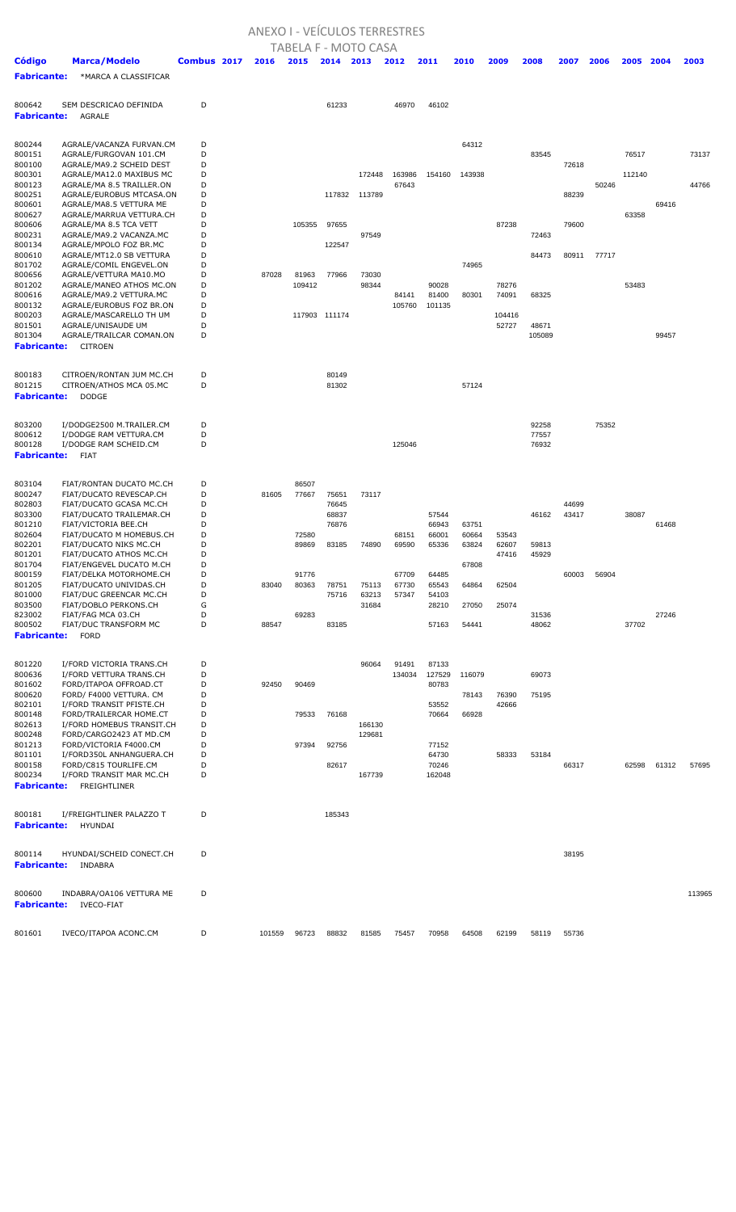## ANEXO I - VEÍCULOS TERRESTRES

|                              |                                                       |             |       |              |               | TABELA F - MOTO CASA |                 |                |        |                |                |             |       |        |       |        |
|------------------------------|-------------------------------------------------------|-------------|-------|--------------|---------------|----------------------|-----------------|----------------|--------|----------------|----------------|-------------|-------|--------|-------|--------|
| <b>Código</b>                | <b>Marca/Modelo</b>                                   | Combus 2017 | 2016  | 2015         | 2014          | 2013                 | 2012            | 2011           | 2010   | 2009           | 2008           | 2007        | 2006  | 2005   | 2004  | 2003   |
| <b>Fabricante:</b>           | *MARCA A CLASSIFICAR                                  |             |       |              |               |                      |                 |                |        |                |                |             |       |        |       |        |
|                              |                                                       |             |       |              |               |                      |                 |                |        |                |                |             |       |        |       |        |
| 800642                       | SEM DESCRICAO DEFINIDA                                | D           |       |              | 61233         |                      | 46970           | 46102          |        |                |                |             |       |        |       |        |
| <b>Fabricante:</b>           | <b>AGRALE</b>                                         |             |       |              |               |                      |                 |                |        |                |                |             |       |        |       |        |
|                              |                                                       |             |       |              |               |                      |                 |                |        |                |                |             |       |        |       |        |
| 800244                       | AGRALE/VACANZA FURVAN.CM                              | D           |       |              |               |                      |                 |                | 64312  |                |                |             |       |        |       |        |
| 800151                       | AGRALE/FURGOVAN 101.CM                                | D           |       |              |               |                      |                 |                |        |                | 83545          |             |       | 76517  |       | 73137  |
| 800100                       | AGRALE/MA9.2 SCHEID DEST                              | D           |       |              |               |                      |                 |                |        |                |                | 72618       |       |        |       |        |
| 800301                       | AGRALE/MA12.0 MAXIBUS MC<br>AGRALE/MA 8.5 TRAILLER.ON | D<br>D      |       |              |               | 172448               | 163986<br>67643 | 154160         | 143938 |                |                |             | 50246 | 112140 |       | 44766  |
| 800123<br>800251             | AGRALE/EUROBUS MTCASA.ON                              | D           |       |              | 117832        | 113789               |                 |                |        |                |                | 88239       |       |        |       |        |
| 800601                       | AGRALE/MA8.5 VETTURA ME                               | D           |       |              |               |                      |                 |                |        |                |                |             |       |        | 69416 |        |
| 800627                       | AGRALE/MARRUA VETTURA.CH                              | D           |       |              |               |                      |                 |                |        |                |                |             |       | 63358  |       |        |
| 800606                       | AGRALE/MA 8.5 TCA VETT                                | D           |       | 105355       | 97655         |                      |                 |                |        | 87238          |                | 79600       |       |        |       |        |
| 800231<br>800134             | AGRALE/MA9.2 VACANZA.MC<br>AGRALE/MPOLO FOZ BR.MC     | D<br>D      |       |              | 122547        | 97549                |                 |                |        |                | 72463          |             |       |        |       |        |
| 800610                       | AGRALE/MT12.0 SB VETTURA                              | D           |       |              |               |                      |                 |                |        |                | 84473          | 80911       | 77717 |        |       |        |
| 801702                       | AGRALE/COMIL ENGEVEL.ON                               | D           |       |              |               |                      |                 |                | 74965  |                |                |             |       |        |       |        |
| 800656                       | AGRALE/VETTURA MA10.MO                                | D           | 87028 | 81963        | 77966         | 73030                |                 |                |        |                |                |             |       |        |       |        |
| 801202<br>800616             | AGRALE/MANEO ATHOS MC.ON<br>AGRALE/MA9.2 VETTURA.MC   | D<br>D      |       | 109412       |               | 98344                | 84141           | 90028<br>81400 | 80301  | 78276<br>74091 | 68325          |             |       | 53483  |       |        |
| 800132                       | AGRALE/EUROBUS FOZ BR.ON                              | D           |       |              |               |                      | 105760          | 101135         |        |                |                |             |       |        |       |        |
| 800203                       | AGRALE/MASCARELLO TH UM                               | D           |       |              | 117903 111174 |                      |                 |                |        | 104416         |                |             |       |        |       |        |
| 801501                       | AGRALE/UNISAUDE UM                                    | D           |       |              |               |                      |                 |                |        | 52727          | 48671          |             |       |        |       |        |
| 801304                       | AGRALE/TRAILCAR COMAN.ON                              | D           |       |              |               |                      |                 |                |        |                | 105089         |             |       |        | 99457 |        |
| <b>Fabricante:</b>           | <b>CITROEN</b>                                        |             |       |              |               |                      |                 |                |        |                |                |             |       |        |       |        |
|                              |                                                       |             |       |              |               |                      |                 |                |        |                |                |             |       |        |       |        |
| 800183                       | CITROEN/RONTAN JUM MC.CH                              | D           |       |              | 80149         |                      |                 |                |        |                |                |             |       |        |       |        |
| 801215                       | CITROEN/ATHOS MCA 05.MC                               | D           |       |              | 81302         |                      |                 |                | 57124  |                |                |             |       |        |       |        |
| <b>Fabricante:</b>           | <b>DODGE</b>                                          |             |       |              |               |                      |                 |                |        |                |                |             |       |        |       |        |
|                              |                                                       |             |       |              |               |                      |                 |                |        |                |                |             |       |        |       |        |
| 803200                       | I/DODGE2500 M.TRAILER.CM                              | D           |       |              |               |                      |                 |                |        |                | 92258          |             | 75352 |        |       |        |
| 800612<br>800128             | I/DODGE RAM VETTURA.CM<br>I/DODGE RAM SCHEID.CM       | D<br>D      |       |              |               |                      | 125046          |                |        |                | 77557<br>76932 |             |       |        |       |        |
| <b>Fabricante:</b>           | <b>FIAT</b>                                           |             |       |              |               |                      |                 |                |        |                |                |             |       |        |       |        |
|                              |                                                       |             |       |              |               |                      |                 |                |        |                |                |             |       |        |       |        |
| 803104                       | FIAT/RONTAN DUCATO MC.CH                              | D           |       | 86507        |               |                      |                 |                |        |                |                |             |       |        |       |        |
| 800247                       | FIAT/DUCATO REVESCAP.CH                               | D           | 81605 | 77667        | 75651         | 73117                |                 |                |        |                |                |             |       |        |       |        |
| 802803                       | FIAT/DUCATO GCASA MC.CH                               | D           |       |              | 76645         |                      |                 |                |        |                |                | 44699       |       |        |       |        |
| 803300                       | FIAT/DUCATO TRAILEMAR.CH                              | D           |       |              | 68837         |                      |                 | 57544          |        |                | 46162          | 43417       |       | 38087  |       |        |
| 801210                       | FIAT/VICTORIA BEE.CH                                  | D           |       |              | 76876         |                      |                 | 66943          | 63751  |                |                |             |       |        | 61468 |        |
| 802604                       | FIAT/DUCATO M HOMEBUS.CH                              | D           |       | 72580        |               |                      | 68151           | 66001          | 60664  | 53543          |                |             |       |        |       |        |
| 802201<br>801201             | FIAT/DUCATO NIKS MC.CH<br>FIAT/DUCATO ATHOS MC.CH     | D<br>D      |       | 89869        | 83185         | 74890                | 69590           | 65336          | 63824  | 62607<br>47416 | 59813<br>45929 |             |       |        |       |        |
| 801704                       | FIAT/ENGEVEL DUCATO M.CH                              | D           |       |              |               |                      |                 |                | 67808  |                |                |             |       |        |       |        |
| 800159                       | FIAT/DELKA MOTORHOME.CH                               | D           |       | 91776        |               |                      | 67709           | 64485          |        |                |                | 60003       | 56904 |        |       |        |
| 801205                       | FIAT/DUCATO UNIVIDAS.CH                               | D           | 83040 | 80363        | 78751         | 75113                | 67730           | 65543          | 64864  | 62504          |                |             |       |        |       |        |
| 801000                       | FIAT/DUC GREENCAR MC.CH                               | D           |       |              | 75716         | 63213                | 57347           | 54103          |        |                |                |             |       |        |       |        |
| 803500<br>823002             | FIAT/DOBLO PERKONS.CH<br>FIAT/FAG MCA 03.CH           | G<br>D      |       | 69283        |               | 31684                |                 | 28210          | 27050  | 25074          | 31536          |             |       |        | 27246 |        |
| 800502                       | FIAT/DUC TRANSFORM MC                                 | D           | 88547 |              | 83185         |                      |                 | 57163          | 54441  |                | 48062          |             |       | 37702  |       |        |
| <b>Fabricante:</b>           | <b>FORD</b>                                           |             |       |              |               |                      |                 |                |        |                |                |             |       |        |       |        |
|                              |                                                       |             |       |              |               |                      |                 |                |        |                |                |             |       |        |       |        |
| 801220                       | I/FORD VICTORIA TRANS.CH                              | D           |       |              |               | 96064                | 91491           | 87133          |        |                |                |             |       |        |       |        |
| 800636                       | I/FORD VETTURA TRANS.CH                               | D           |       |              |               |                      | 134034          | 127529         | 116079 |                | 69073          |             |       |        |       |        |
| 801602                       | FORD/ITAPOA OFFROAD.CT                                | D           | 92450 | 90469        |               |                      |                 | 80783          |        |                |                |             |       |        |       |        |
| 800620                       | FORD/ F4000 VETTURA. CM                               | D           |       |              |               |                      |                 |                | 78143  | 76390          | 75195          |             |       |        |       |        |
| 802101<br>800148             | I/FORD TRANSIT PFISTE.CH<br>FORD/TRAILERCAR HOME.CT   | D<br>D      |       | 79533        | 76168         |                      |                 | 53552<br>70664 |        | 42666          |                |             |       |        |       |        |
| 802613                       | I/FORD HOMEBUS TRANSIT.CH                             | D           |       |              |               | 166130               |                 |                | 66928  |                |                |             |       |        |       |        |
| 800248                       | FORD/CARGO2423 AT MD.CM                               | D           |       |              |               | 129681               |                 |                |        |                |                |             |       |        |       |        |
| 801213                       | FORD/VICTORIA F4000.CM                                | D           |       | 97394        | 92756         |                      |                 | 77152          |        |                |                |             |       |        |       |        |
| 801101                       | I/FORD350L ANHANGUERA.CH                              | D           |       |              |               |                      |                 | 64730          |        | 58333          | 53184          |             |       |        |       |        |
| 800158                       | FORD/C815 TOURLIFE.CM                                 | D           |       |              | 82617         |                      |                 | 70246          |        |                |                | 66317       |       | 62598  | 61312 | 57695  |
| 800234<br><b>Fabricante:</b> | I/FORD TRANSIT MAR MC.CH<br>FREIGHTLINER              | D           |       |              |               | 167739               |                 | 162048         |        |                |                |             |       |        |       |        |
|                              |                                                       |             |       |              |               |                      |                 |                |        |                |                |             |       |        |       |        |
|                              |                                                       |             |       |              |               |                      |                 |                |        |                |                |             |       |        |       |        |
| 800181<br><b>Fabricante:</b> | I/FREIGHTLINER PALAZZO T<br>HYUNDAI                   | D           |       |              | 185343        |                      |                 |                |        |                |                |             |       |        |       |        |
|                              |                                                       |             |       |              |               |                      |                 |                |        |                |                |             |       |        |       |        |
|                              |                                                       |             |       |              |               |                      |                 |                |        |                |                |             |       |        |       |        |
| 800114<br><b>Fabricante:</b> | HYUNDAI/SCHEID CONECT.CH<br>INDABRA                   | D           |       |              |               |                      |                 |                |        |                |                | 38195       |       |        |       |        |
|                              |                                                       |             |       |              |               |                      |                 |                |        |                |                |             |       |        |       |        |
|                              |                                                       |             |       |              |               |                      |                 |                |        |                |                |             |       |        |       |        |
| 800600<br><b>Fabricante:</b> | INDABRA/OA106 VETTURA ME<br><b>IVECO-FIAT</b>         | D           |       |              |               |                      |                 |                |        |                |                |             |       |        |       | 113965 |
|                              |                                                       |             |       |              |               |                      |                 |                |        |                |                |             |       |        |       |        |
| 801601                       | IVECO/ITAPOA ACONC.CM                                 | D           |       | 101559 96723 | 88832         |                      | 81585 75457     | 70958          | 64508  | 62199          |                | 58119 55736 |       |        |       |        |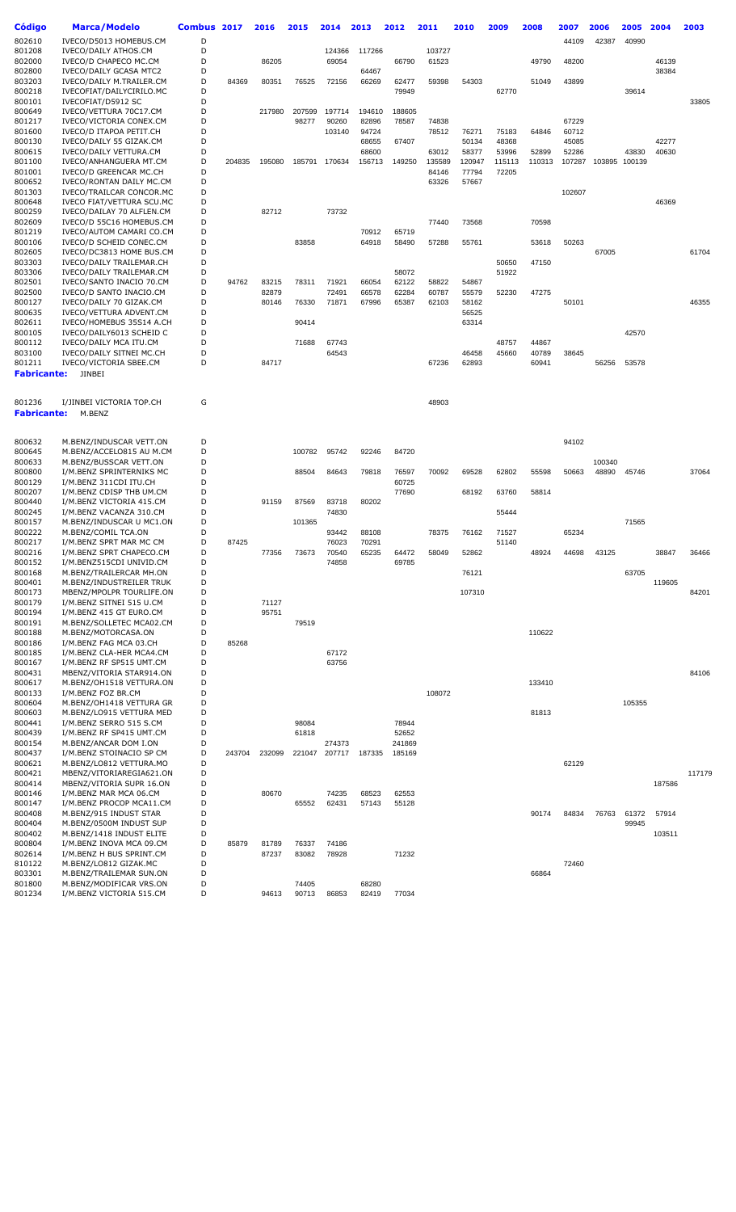| Código           | Marca/Modelo                                          | Combus 2017 |        | 2016   | 2015   | 2014          | 2013   | 2012           | 2011   | 2010           | 2009   | 2008   | 2007   | 2006            | 2005   | 2004   | 2003   |
|------------------|-------------------------------------------------------|-------------|--------|--------|--------|---------------|--------|----------------|--------|----------------|--------|--------|--------|-----------------|--------|--------|--------|
| 802610           | IVECO/D5013 HOMEBUS.CM                                | D           |        |        |        |               |        |                |        |                |        |        | 44109  | 42387           | 40990  |        |        |
| 801208           | IVECO/DAILY ATHOS.CM                                  | D           |        |        |        | 124366        | 117266 |                | 103727 |                |        |        |        |                 |        |        |        |
| 802000           | IVECO/D CHAPECO MC.CM                                 | D           |        | 86205  |        | 69054         |        | 66790          | 61523  |                |        | 49790  | 48200  |                 |        | 46139  |        |
| 802800           | <b>IVECO/DAILY GCASA MTC2</b>                         | D<br>D      |        |        |        |               | 64467  |                |        |                |        |        |        |                 |        | 38384  |        |
| 803203<br>800218 | IVECO/DAILY M.TRAILER.CM<br>IVECOFIAT/DAILYCIRILO.MC  | D           | 84369  | 80351  | 76525  | 72156         | 66269  | 62477<br>79949 | 59398  | 54303          | 62770  | 51049  | 43899  |                 | 39614  |        |        |
| 800101           | IVECOFIAT/D5912 SC                                    | D           |        |        |        |               |        |                |        |                |        |        |        |                 |        |        | 33805  |
| 800649           | IVECO/VETTURA 70C17.CM                                | D           |        | 217980 | 207599 | 197714        | 194610 | 188605         |        |                |        |        |        |                 |        |        |        |
| 801217           | IVECO/VICTORIA CONEX.CM                               | D           |        |        | 98277  | 90260         | 82896  | 78587          | 74838  |                |        |        | 67229  |                 |        |        |        |
| 801600           | IVECO/D ITAPOA PETIT.CH                               | D           |        |        |        | 103140        | 94724  |                | 78512  | 76271          | 75183  | 64846  | 60712  |                 |        |        |        |
| 800130           | IVECO/DAILY 55 GIZAK.CM                               | D           |        |        |        |               | 68655  | 67407          |        | 50134          | 48368  |        | 45085  |                 |        | 42277  |        |
| 800615           | IVECO/DAILY VETTURA.CM                                | D           |        |        |        |               | 68600  |                | 63012  | 58377          | 53996  | 52899  | 52286  |                 | 43830  | 40630  |        |
| 801100           | IVECO/ANHANGUERA MT.CM                                | D           | 204835 | 195080 | 185791 | 170634        | 156713 | 149250         | 135589 | 120947         | 115113 | 110313 | 107287 | 103895          | 100139 |        |        |
| 801001           | IVECO/D GREENCAR MC.CH                                | D           |        |        |        |               |        |                | 84146  | 77794          | 72205  |        |        |                 |        |        |        |
| 800652           | IVECO/RONTAN DAILY MC.CM                              | D           |        |        |        |               |        |                | 63326  | 57667          |        |        |        |                 |        |        |        |
| 801303<br>800648 | IVECO/TRAILCAR CONCOR.MC<br>IVECO FIAT/VETTURA SCU.MC | D<br>D      |        |        |        |               |        |                |        |                |        |        | 102607 |                 |        | 46369  |        |
| 800259           | IVECO/DAILAY 70 ALFLEN.CM                             | D           |        | 82712  |        | 73732         |        |                |        |                |        |        |        |                 |        |        |        |
| 802609           | IVECO/D 55C16 HOMEBUS.CM                              | D           |        |        |        |               |        |                | 77440  | 73568          |        | 70598  |        |                 |        |        |        |
| 801219           | IVECO/AUTOM CAMARI CO.CM                              | D           |        |        |        |               | 70912  | 65719          |        |                |        |        |        |                 |        |        |        |
| 800106           | IVECO/D SCHEID CONEC.CM                               | D           |        |        | 83858  |               | 64918  | 58490          | 57288  | 55761          |        | 53618  | 50263  |                 |        |        |        |
| 802605           | IVECO/DC3813 HOME BUS.CM                              | D           |        |        |        |               |        |                |        |                |        |        |        | 67005           |        |        | 61704  |
| 803303           | IVECO/DAILY TRAILEMAR.CH                              | D           |        |        |        |               |        |                |        |                | 50650  | 47150  |        |                 |        |        |        |
| 803306           | IVECO/DAILY TRAILEMAR.CM                              | D           |        |        |        |               |        | 58072          |        |                | 51922  |        |        |                 |        |        |        |
| 802501           | IVECO/SANTO INACIO 70.CM                              | D           | 94762  | 83215  | 78311  | 71921         | 66054  | 62122          | 58822  | 54867          |        |        |        |                 |        |        |        |
| 802500           | IVECO/D SANTO INACIO.CM                               | D           |        | 82879  |        | 72491         | 66578  | 62284          | 60787  | 55579          | 52230  | 47275  |        |                 |        |        |        |
| 800127<br>800635 | IVECO/DAILY 70 GIZAK.CM<br>IVECO/VETTURA ADVENT.CM    | D<br>D      |        | 80146  | 76330  | 71871         | 67996  | 65387          | 62103  | 58162<br>56525 |        |        | 50101  |                 |        |        | 46355  |
| 802611           | IVECO/HOMEBUS 35S14 A.CH                              | D           |        |        | 90414  |               |        |                |        | 63314          |        |        |        |                 |        |        |        |
| 800105           | IVECO/DAILY6013 SCHEID C                              | D           |        |        |        |               |        |                |        |                |        |        |        |                 | 42570  |        |        |
| 800112           | IVECO/DAILY MCA ITU.CM                                | D           |        |        | 71688  | 67743         |        |                |        |                | 48757  | 44867  |        |                 |        |        |        |
| 803100           | IVECO/DAILY SITNEI MC.CH                              | D           |        |        |        | 64543         |        |                |        | 46458          | 45660  | 40789  | 38645  |                 |        |        |        |
| 801211           | IVECO/VICTORIA SBEE.CM                                | D           |        | 84717  |        |               |        |                | 67236  | 62893          |        | 60941  |        | 56256           | 53578  |        |        |
| Fabricante:      | JINBEI                                                |             |        |        |        |               |        |                |        |                |        |        |        |                 |        |        |        |
|                  |                                                       |             |        |        |        |               |        |                |        |                |        |        |        |                 |        |        |        |
| 801236           | I/JINBEI VICTORIA TOP.CH                              | G           |        |        |        |               |        |                | 48903  |                |        |        |        |                 |        |        |        |
| Fabricante:      | M.BENZ                                                |             |        |        |        |               |        |                |        |                |        |        |        |                 |        |        |        |
|                  |                                                       |             |        |        |        |               |        |                |        |                |        |        |        |                 |        |        |        |
|                  |                                                       |             |        |        |        |               |        |                |        |                |        |        |        |                 |        |        |        |
| 800632           | M.BENZ/INDUSCAR VETT.ON                               | D           |        |        |        |               |        |                |        |                |        |        | 94102  |                 |        |        |        |
| 800645           | M.BENZ/ACCELO815 AU M.CM                              | D<br>D      |        |        | 100782 | 95742         | 92246  | 84720          |        |                |        |        |        |                 |        |        |        |
| 800633<br>800800 | M.BENZ/BUSSCAR VETT.ON<br>I/M.BENZ SPRINTERNIKS MC    | D           |        |        | 88504  | 84643         | 79818  | 76597          | 70092  | 69528          | 62802  | 55598  | 50663  | 100340<br>48890 | 45746  |        | 37064  |
| 800129           | I/M.BENZ 311CDI ITU.CH                                | D           |        |        |        |               |        | 60725          |        |                |        |        |        |                 |        |        |        |
| 800207           | I/M.BENZ CDISP THB UM.CM                              | D           |        |        |        |               |        | 77690          |        | 68192          | 63760  | 58814  |        |                 |        |        |        |
| 800440           | I/M.BENZ VICTORIA 415.CM                              | D           |        | 91159  | 87569  | 83718         | 80202  |                |        |                |        |        |        |                 |        |        |        |
| 800245           | I/M.BENZ VACANZA 310.CM                               | D           |        |        |        | 74830         |        |                |        |                | 55444  |        |        |                 |        |        |        |
| 800157           | M.BENZ/INDUSCAR U MC1.ON                              | D           |        |        | 101365 |               |        |                |        |                |        |        |        |                 | 71565  |        |        |
| 800222           | M.BENZ/COMIL TCA.ON                                   | D           |        |        |        | 93442         | 88108  |                | 78375  | 76162          | 71527  |        | 65234  |                 |        |        |        |
| 800217           | I/M.BENZ SPRT MAR MC CM                               | D           | 87425  |        |        | 76023         | 70291  |                |        |                | 51140  |        |        |                 |        |        |        |
| 800216           | I/M.BENZ SPRT CHAPECO.CM                              | D           |        | 77356  | 73673  | 70540         | 65235  | 64472          | 58049  | 52862          |        | 48924  | 44698  | 43125           |        | 38847  | 36466  |
| 800152<br>800168 | I/M.BENZ515CDI UNIVID.CM                              | D<br>D      |        |        |        | 74858         |        | 69785          |        |                |        |        |        |                 | 63705  |        |        |
| 800401           | M.BENZ/TRAILERCAR MH.ON<br>M.BENZ/INDUSTREILER TRUK   | D           |        |        |        |               |        |                |        | 76121          |        |        |        |                 |        | 119605 |        |
| 800173           | MBENZ/MPOLPR TOURLIFE.ON                              | D           |        |        |        |               |        |                |        | 107310         |        |        |        |                 |        |        | 84201  |
| 800179           | I/M.BENZ SITNEI 515 U.CM                              | D           |        | 71127  |        |               |        |                |        |                |        |        |        |                 |        |        |        |
| 800194           | I/M.BENZ 415 GT EURO.CM                               | D           |        | 95751  |        |               |        |                |        |                |        |        |        |                 |        |        |        |
| 800191           | M.BENZ/SOLLETEC MCA02.CM                              | D           |        |        | 79519  |               |        |                |        |                |        |        |        |                 |        |        |        |
| 800188           | M.BENZ/MOTORCASA.ON                                   | D           |        |        |        |               |        |                |        |                |        | 110622 |        |                 |        |        |        |
| 800186           | I/M.BENZ FAG MCA 03.CH                                | D           | 85268  |        |        |               |        |                |        |                |        |        |        |                 |        |        |        |
| 800185           | I/M.BENZ CLA-HER MCA4.CM                              | D           |        |        |        | 67172         |        |                |        |                |        |        |        |                 |        |        |        |
| 800167<br>800431 | I/M.BENZ RF SP515 UMT.CM<br>MBENZ/VITORIA STAR914.ON  | D<br>D      |        |        |        | 63756         |        |                |        |                |        |        |        |                 |        |        | 84106  |
| 800617           | M.BENZ/OH1518 VETTURA.ON                              | D           |        |        |        |               |        |                |        |                |        | 133410 |        |                 |        |        |        |
| 800133           | I/M.BENZ FOZ BR.CM                                    | D           |        |        |        |               |        |                | 108072 |                |        |        |        |                 |        |        |        |
| 800604           | M.BENZ/OH1418 VETTURA GR                              | D           |        |        |        |               |        |                |        |                |        |        |        |                 | 105355 |        |        |
| 800603           | M.BENZ/LO915 VETTURA MED                              | D           |        |        |        |               |        |                |        |                |        | 81813  |        |                 |        |        |        |
| 800441           | I/M.BENZ SERRO 515 S.CM                               | D           |        |        | 98084  |               |        | 78944          |        |                |        |        |        |                 |        |        |        |
| 800439           | I/M.BENZ RF SP415 UMT.CM                              | D           |        |        | 61818  |               |        | 52652          |        |                |        |        |        |                 |        |        |        |
| 800154           | M.BENZ/ANCAR DOM I.ON                                 | D           |        |        |        | 274373        |        | 241869         |        |                |        |        |        |                 |        |        |        |
| 800437           | I/M.BENZ STOINACIO SP CM                              | D           | 243704 | 232099 |        | 221047 207717 | 187335 | 185169         |        |                |        |        |        |                 |        |        |        |
| 800621           | M.BENZ/LO812 VETTURA.MO                               | D           |        |        |        |               |        |                |        |                |        |        | 62129  |                 |        |        |        |
| 800421           | MBENZ/VITORIAREGIA621.ON                              | D           |        |        |        |               |        |                |        |                |        |        |        |                 |        |        | 117179 |
| 800414<br>800146 | MBENZ/VITORIA SUPR 16.ON<br>I/M.BENZ MAR MCA 06.CM    | D<br>D      |        | 80670  |        | 74235         | 68523  | 62553          |        |                |        |        |        |                 |        | 187586 |        |
| 800147           | I/M.BENZ PROCOP MCA11.CM                              | D           |        |        | 65552  | 62431         | 57143  | 55128          |        |                |        |        |        |                 |        |        |        |
| 800408           | M.BENZ/915 INDUST STAR                                | D           |        |        |        |               |        |                |        |                |        | 90174  | 84834  | 76763           | 61372  | 57914  |        |
| 800404           | M.BENZ/0500M INDUST SUP                               | D           |        |        |        |               |        |                |        |                |        |        |        |                 | 99945  |        |        |
| 800402           | M.BENZ/1418 INDUST ELITE                              | D           |        |        |        |               |        |                |        |                |        |        |        |                 |        | 103511 |        |
| 800804           | I/M.BENZ INOVA MCA 09.CM                              | D           | 85879  | 81789  | 76337  | 74186         |        |                |        |                |        |        |        |                 |        |        |        |
| 802614           | I/M.BENZ H BUS SPRINT.CM                              | D           |        | 87237  | 83082  | 78928         |        | 71232          |        |                |        |        |        |                 |        |        |        |
| 810122           | M.BENZ/LO812 GIZAK.MC                                 | D           |        |        |        |               |        |                |        |                |        |        | 72460  |                 |        |        |        |
| 803301           | M.BENZ/TRAILEMAR SUN.ON                               | D           |        |        |        |               |        |                |        |                |        | 66864  |        |                 |        |        |        |
| 801800           | M.BENZ/MODIFICAR VRS.ON                               | D<br>D      |        | 94613  | 74405  |               | 68280  |                |        |                |        |        |        |                 |        |        |        |
| 801234           | I/M.BENZ VICTORIA 515.CM                              |             |        |        | 90713  | 86853         | 82419  | 77034          |        |                |        |        |        |                 |        |        |        |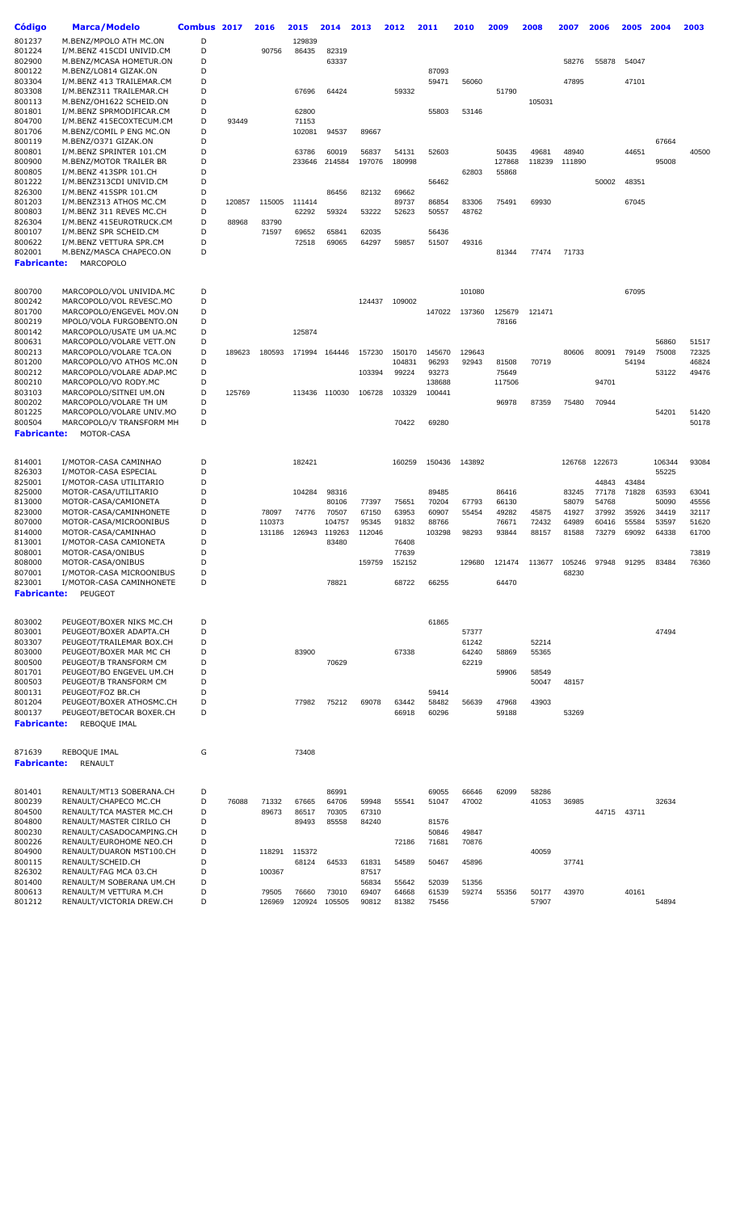| Código                       | <b>Marca/Modelo</b>                                  | Combus 2017 |        | 2016   | 2015            | 2014   | 2013           | 2012           | 2011            | 2010   | 2009            | 2008   | 2007   | 2006   | 2005        | 2004            | 2003  |
|------------------------------|------------------------------------------------------|-------------|--------|--------|-----------------|--------|----------------|----------------|-----------------|--------|-----------------|--------|--------|--------|-------------|-----------------|-------|
| 801237                       | M.BENZ/MPOLO ATH MC.ON                               | D           |        |        | 129839          |        |                |                |                 |        |                 |        |        |        |             |                 |       |
| 801224                       | I/M.BENZ 415CDI UNIVID.CM                            | D           |        | 90756  | 86435           | 82319  |                |                |                 |        |                 |        |        |        |             |                 |       |
| 802900                       | M.BENZ/MCASA HOMETUR.ON                              | D           |        |        |                 | 63337  |                |                |                 |        |                 |        | 58276  | 55878  | 54047       |                 |       |
| 800122                       | M.BENZ/LO814 GIZAK.ON                                | D           |        |        |                 |        |                |                | 87093           |        |                 |        |        |        |             |                 |       |
| 803304                       | I/M.BENZ 413 TRAILEMAR.CM                            | D           |        |        |                 |        |                |                | 59471           | 56060  |                 |        | 47895  |        | 47101       |                 |       |
| 803308                       | I/M.BENZ311 TRAILEMAR.CH                             | D           |        |        | 67696           | 64424  |                | 59332          |                 |        | 51790           |        |        |        |             |                 |       |
| 800113                       | M.BENZ/OH1622 SCHEID.ON                              | D           |        |        |                 |        |                |                |                 |        |                 | 105031 |        |        |             |                 |       |
| 801801                       | I/M.BENZ SPRMODIFICAR.CM                             | D<br>D      |        |        | 62800           |        |                |                | 55803           | 53146  |                 |        |        |        |             |                 |       |
| 804700<br>801706             | I/M.BENZ 415ECOXTECUM.CM<br>M.BENZ/COMIL P ENG MC.ON | D           | 93449  |        | 71153<br>102081 | 94537  | 89667          |                |                 |        |                 |        |        |        |             |                 |       |
| 800119                       | M.BENZ/0371 GIZAK.ON                                 | D           |        |        |                 |        |                |                |                 |        |                 |        |        |        |             | 67664           |       |
| 800801                       | I/M.BENZ SPRINTER 101.CM                             | D           |        |        | 63786           | 60019  | 56837          | 54131          | 52603           |        | 50435           | 49681  | 48940  |        | 44651       |                 | 40500 |
| 800900                       | M.BENZ/MOTOR TRAILER BR                              | D           |        |        | 233646          | 214584 | 197076         | 180998         |                 |        | 127868          | 118239 | 111890 |        |             | 95008           |       |
| 800805                       | I/M.BENZ 413SPR 101.CH                               | D           |        |        |                 |        |                |                |                 | 62803  | 55868           |        |        |        |             |                 |       |
| 801222                       | I/M.BENZ313CDI UNIVID.CM                             | D           |        |        |                 |        |                |                | 56462           |        |                 |        |        | 50002  | 48351       |                 |       |
| 826300                       | I/M.BENZ 415SPR 101.CM                               | D           |        |        |                 | 86456  | 82132          | 69662          |                 |        |                 |        |        |        |             |                 |       |
| 801203                       | I/M.BENZ313 ATHOS MC.CM                              | D           | 120857 | 115005 | 111414          |        |                | 89737          | 86854           | 83306  | 75491           | 69930  |        |        | 67045       |                 |       |
| 800803                       | I/M.BENZ 311 REVES MC.CH                             | D           |        |        | 62292           | 59324  | 53222          | 52623          | 50557           | 48762  |                 |        |        |        |             |                 |       |
| 826304                       | I/M.BENZ 415EUROTRUCK.CM                             | D           | 88968  | 83790  |                 |        |                |                |                 |        |                 |        |        |        |             |                 |       |
| 800107                       | I/M.BENZ SPR SCHEID.CM                               | D           |        | 71597  | 69652           | 65841  | 62035          |                | 56436           |        |                 |        |        |        |             |                 |       |
| 800622                       | I/M.BENZ VETTURA SPR.CM                              | D<br>D      |        |        | 72518           | 69065  | 64297          | 59857          | 51507           | 49316  |                 |        |        |        |             |                 |       |
| 802001                       | M.BENZ/MASCA CHAPECO.ON                              |             |        |        |                 |        |                |                |                 |        | 81344           | 77474  | 71733  |        |             |                 |       |
| <b>Fabricante:</b>           | <b>MARCOPOLO</b>                                     |             |        |        |                 |        |                |                |                 |        |                 |        |        |        |             |                 |       |
| 800700                       | MARCOPOLO/VOL UNIVIDA.MC                             | D           |        |        |                 |        |                |                |                 | 101080 |                 |        |        |        | 67095       |                 |       |
| 800242                       | MARCOPOLO/VOL REVESC.MO                              | D           |        |        |                 |        | 124437         | 109002         |                 |        |                 |        |        |        |             |                 |       |
| 801700                       | MARCOPOLO/ENGEVEL MOV.ON                             | D           |        |        |                 |        |                |                | 147022          | 137360 | 125679          | 121471 |        |        |             |                 |       |
| 800219                       | MPOLO/VOLA FURGOBENTO.ON                             | D           |        |        |                 |        |                |                |                 |        | 78166           |        |        |        |             |                 |       |
| 800142                       | MARCOPOLO/USATE UM UA.MC                             | D           |        |        | 125874          |        |                |                |                 |        |                 |        |        |        |             |                 |       |
| 800631                       | MARCOPOLO/VOLARE VETT.ON                             | D           |        |        |                 |        |                |                |                 |        |                 |        |        |        |             | 56860           | 51517 |
| 800213                       | MARCOPOLO/VOLARE TCA.ON                              | D           | 189623 | 180593 | 171994          | 164446 | 157230         | 150170         | 145670          | 129643 |                 |        | 80606  | 80091  | 79149       | 75008           | 72325 |
| 801200                       | MARCOPOLO/VO ATHOS MC.ON                             | D           |        |        |                 |        |                | 104831         | 96293           | 92943  | 81508           | 70719  |        |        | 54194       |                 | 46824 |
| 800212<br>800210             | MARCOPOLO/VOLARE ADAP.MC<br>MARCOPOLO/VO RODY.MC     | D<br>D      |        |        |                 |        | 103394         | 99224          | 93273<br>138688 |        | 75649<br>117506 |        |        | 94701  |             | 53122           | 49476 |
| 803103                       | MARCOPOLO/SITNEI UM.ON                               | D           | 125769 |        | 113436          | 110030 | 106728         | 103329         | 100441          |        |                 |        |        |        |             |                 |       |
| 800202                       | MARCOPOLO/VOLARE TH UM                               | D           |        |        |                 |        |                |                |                 |        | 96978           | 87359  | 75480  | 70944  |             |                 |       |
| 801225                       | MARCOPOLO/VOLARE UNIV.MO                             | D           |        |        |                 |        |                |                |                 |        |                 |        |        |        |             | 54201           | 51420 |
| 800504                       | MARCOPOLO/V TRANSFORM MH                             | D           |        |        |                 |        |                | 70422          | 69280           |        |                 |        |        |        |             |                 | 50178 |
| <b>Fabricante:</b>           | MOTOR-CASA                                           |             |        |        |                 |        |                |                |                 |        |                 |        |        |        |             |                 |       |
|                              |                                                      |             |        |        |                 |        |                |                |                 |        |                 |        |        |        |             |                 |       |
| 814001<br>826303             | I/MOTOR-CASA CAMINHAO<br>I/MOTOR-CASA ESPECIAL       | D<br>D      |        |        | 182421          |        |                | 160259         | 150436          | 143892 |                 |        | 126768 | 122673 |             | 106344<br>55225 | 93084 |
| 825001                       | I/MOTOR-CASA UTILITARIO                              | D           |        |        |                 |        |                |                |                 |        |                 |        |        | 44843  | 43484       |                 |       |
| 825000                       | MOTOR-CASA/UTILITARIO                                | D           |        |        | 104284          | 98316  |                |                | 89485           |        | 86416           |        | 83245  | 77178  | 71828       | 63593           | 63041 |
| 813000                       | MOTOR-CASA/CAMIONETA                                 | D           |        |        |                 | 80106  | 77397          | 75651          | 70204           | 67793  | 66130           |        | 58079  | 54768  |             | 50090           | 45556 |
| 823000                       | MOTOR-CASA/CAMINHONETE                               | D           |        | 78097  | 74776           | 70507  | 67150          | 63953          | 60907           | 55454  | 49282           | 45875  | 41927  | 37992  | 35926       | 34419           | 32117 |
| 807000                       | MOTOR-CASA/MICROONIBUS                               | D           |        | 110373 |                 | 104757 | 95345          | 91832          | 88766           |        | 76671           | 72432  | 64989  | 60416  | 55584       | 53597           | 51620 |
| 814000                       | MOTOR-CASA/CAMINHAO                                  | D           |        | 131186 | 126943          | 119263 | 112046         |                | 103298          | 98293  | 93844           | 88157  | 81588  | 73279  | 69092       | 64338           | 61700 |
| 813001                       | I/MOTOR-CASA CAMIONETA                               | D           |        |        |                 | 83480  |                | 76408          |                 |        |                 |        |        |        |             |                 |       |
| 808001                       | MOTOR-CASA/ONIBUS                                    | D           |        |        |                 |        |                | 77639          |                 |        |                 |        |        |        |             |                 | 73819 |
| 808000                       | MOTOR-CASA/ONIBUS                                    | D           |        |        |                 |        | 159759         | 152152         |                 | 129680 | 121474          | 113677 | 105246 | 97948  | 91295       | 83484           | 76360 |
| 807001                       | I/MOTOR-CASA MICROONIBUS                             | D           |        |        |                 |        |                |                |                 |        |                 |        | 68230  |        |             |                 |       |
| 823001<br><b>Fabricante:</b> | I/MOTOR-CASA CAMINHONETE<br>PEUGEOT                  | D           |        |        |                 | 78821  |                | 68722          | 66255           |        | 64470           |        |        |        |             |                 |       |
|                              |                                                      |             |        |        |                 |        |                |                |                 |        |                 |        |        |        |             |                 |       |
| 803002                       | PEUGEOT/BOXER NIKS MC.CH                             | D           |        |        |                 |        |                |                | 61865           |        |                 |        |        |        |             |                 |       |
| 803001                       | PEUGEOT/BOXER ADAPTA.CH                              | D           |        |        |                 |        |                |                |                 | 57377  |                 |        |        |        |             | 47494           |       |
| 803307                       | PEUGEOT/TRAILEMAR BOX.CH                             | D           |        |        |                 |        |                |                |                 | 61242  |                 | 52214  |        |        |             |                 |       |
| 803000                       | PEUGEOT/BOXER MAR MC CH                              | D           |        |        | 83900           |        |                | 67338          |                 | 64240  | 58869           | 55365  |        |        |             |                 |       |
| 800500                       | PEUGEOT/B TRANSFORM CM                               | D           |        |        |                 | 70629  |                |                |                 | 62219  |                 |        |        |        |             |                 |       |
| 801701                       | PEUGEOT/BO ENGEVEL UM.CH                             | D           |        |        |                 |        |                |                |                 |        | 59906           | 58549  |        |        |             |                 |       |
| 800503                       | PEUGEOT/B TRANSFORM CM                               | D<br>D      |        |        |                 |        |                |                |                 |        |                 | 50047  | 48157  |        |             |                 |       |
| 800131<br>801204             | PEUGEOT/FOZ BR.CH<br>PEUGEOT/BOXER ATHOSMC.CH        | D           |        |        | 77982           | 75212  |                |                | 59414           |        |                 |        |        |        |             |                 |       |
| 800137                       | PEUGEOT/BETOCAR BOXER.CH                             | D           |        |        |                 |        | 69078          | 63442<br>66918 | 58482<br>60296  | 56639  | 47968<br>59188  | 43903  | 53269  |        |             |                 |       |
| <b>Fabricante:</b>           | REBOQUE IMAL                                         |             |        |        |                 |        |                |                |                 |        |                 |        |        |        |             |                 |       |
|                              |                                                      |             |        |        |                 |        |                |                |                 |        |                 |        |        |        |             |                 |       |
| 871639<br><b>Fabricante:</b> | REBOQUE IMAL<br><b>RENAULT</b>                       | G           |        |        | 73408           |        |                |                |                 |        |                 |        |        |        |             |                 |       |
|                              |                                                      |             |        |        |                 |        |                |                |                 |        |                 |        |        |        |             |                 |       |
| 801401                       | RENAULT/MT13 SOBERANA.CH                             | D           |        |        |                 | 86991  |                |                | 69055           | 66646  | 62099           | 58286  |        |        |             |                 |       |
| 800239                       | RENAULT/CHAPECO MC.CH                                | D           | 76088  | 71332  | 67665           | 64706  | 59948          | 55541          | 51047           | 47002  |                 | 41053  | 36985  |        |             | 32634           |       |
| 804500                       | RENAULT/TCA MASTER MC.CH                             | D           |        | 89673  | 86517           | 70305  | 67310          |                |                 |        |                 |        |        |        | 44715 43711 |                 |       |
| 804800                       | RENAULT/MASTER CIRILO CH                             | D           |        |        | 89493           | 85558  | 84240          |                | 81576           |        |                 |        |        |        |             |                 |       |
| 800230                       | RENAULT/CASADOCAMPING.CH                             | D           |        |        |                 |        |                |                | 50846           | 49847  |                 |        |        |        |             |                 |       |
| 800226                       | RENAULT/EUROHOME NEO.CH                              | D           |        |        |                 |        |                | 72186          | 71681           | 70876  |                 |        |        |        |             |                 |       |
| 804900                       | RENAULT/DUARON MST100.CH                             | D           |        | 118291 | 115372          |        |                |                |                 |        |                 | 40059  |        |        |             |                 |       |
| 800115<br>826302             | RENAULT/SCHEID.CH<br>RENAULT/FAG MCA 03.CH           | D<br>D      |        | 100367 | 68124           | 64533  | 61831<br>87517 | 54589          | 50467           | 45896  |                 |        | 37741  |        |             |                 |       |
| 801400                       | RENAULT/M SOBERANA UM.CH                             | D           |        |        |                 |        | 56834          | 55642          | 52039           | 51356  |                 |        |        |        |             |                 |       |
| 800613                       | RENAULT/M VETTURA M.CH                               | D           |        | 79505  | 76660           | 73010  | 69407          | 64668          | 61539           | 59274  | 55356           | 50177  | 43970  |        | 40161       |                 |       |
| 801212                       | RENAULT/VICTORIA DREW.CH                             | D           |        | 126969 | 120924          | 105505 | 90812          | 81382          | 75456           |        |                 | 57907  |        |        |             | 54894           |       |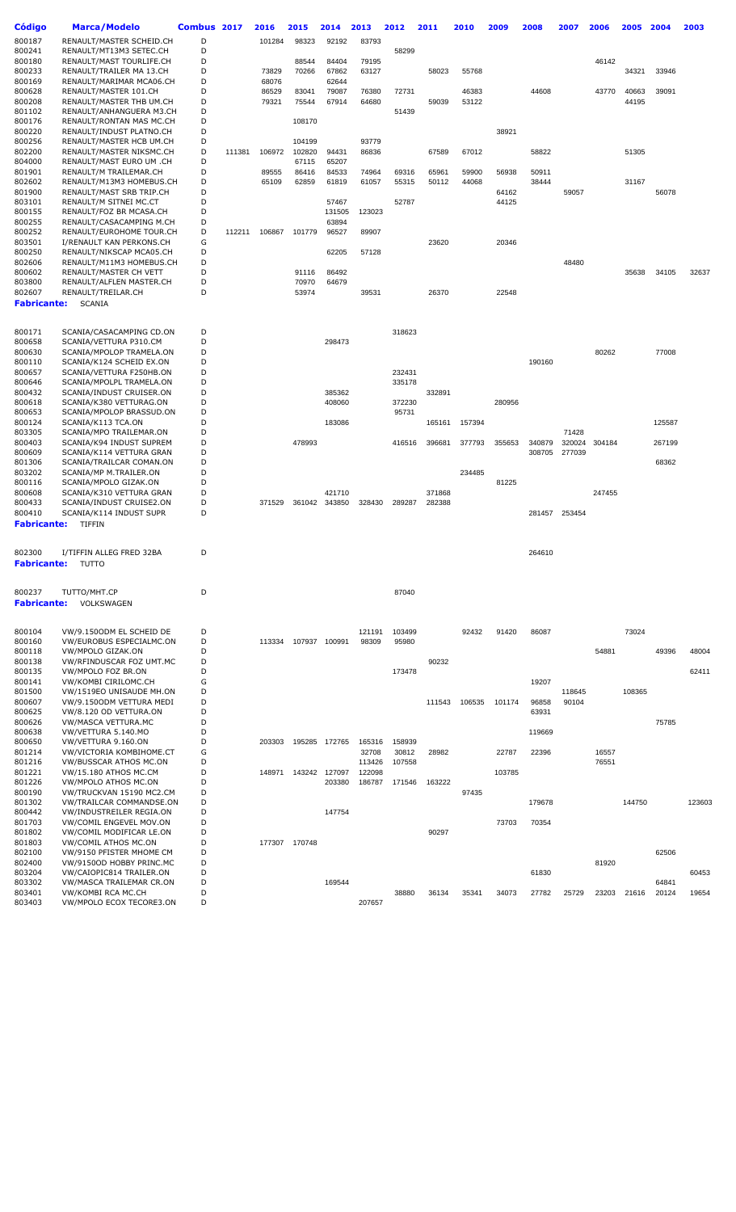| <b>Código</b>      | <b>Marca/Modelo</b>                            | Combus 2017 |        | 2016   | 2015   | 2014          | 2013   | 2012   | 2011   | 2010   | 2009   | 2008   | 2007   | 2006   | 2005   | 2004   | 2003   |
|--------------------|------------------------------------------------|-------------|--------|--------|--------|---------------|--------|--------|--------|--------|--------|--------|--------|--------|--------|--------|--------|
| 800187             | RENAULT/MASTER SCHEID.CH                       | D           |        | 101284 | 98323  | 92192         | 83793  |        |        |        |        |        |        |        |        |        |        |
| 800241             | RENAULT/MT13M3 SETEC.CH                        | D           |        |        |        |               |        | 58299  |        |        |        |        |        |        |        |        |        |
| 800180             | RENAULT/MAST TOURLIFE.CH                       | D           |        |        | 88544  | 84404         | 79195  |        |        |        |        |        |        | 46142  |        |        |        |
| 800233             | RENAULT/TRAILER MA 13.CH                       | D           |        | 73829  | 70266  | 67862         | 63127  |        | 58023  | 55768  |        |        |        |        | 34321  | 33946  |        |
| 800169             | RENAULT/MARIMAR MCA06.CH                       | D           |        | 68076  |        | 62644         |        |        |        |        |        |        |        |        |        |        |        |
| 800628             | RENAULT/MASTER 101.CH                          | D           |        | 86529  | 83041  | 79087         | 76380  | 72731  |        | 46383  |        | 44608  |        | 43770  | 40663  | 39091  |        |
| 800208             | RENAULT/MASTER THB UM.CH                       | D           |        | 79321  | 75544  | 67914         | 64680  |        | 59039  | 53122  |        |        |        |        | 44195  |        |        |
| 801102             | RENAULT/ANHANGUERA M3.CH                       | D           |        |        |        |               |        | 51439  |        |        |        |        |        |        |        |        |        |
| 800176             | RENAULT/RONTAN MAS MC.CH                       | D           |        |        | 108170 |               |        |        |        |        |        |        |        |        |        |        |        |
| 800220             | RENAULT/INDUST PLATNO.CH                       | D           |        |        |        |               |        |        |        |        | 38921  |        |        |        |        |        |        |
| 800256             | RENAULT/MASTER HCB UM.CH                       | D           |        |        | 104199 |               | 93779  |        |        |        |        |        |        |        |        |        |        |
| 802200             | RENAULT/MASTER NIKSMC.CH                       | D           | 111381 | 106972 | 102820 | 94431         | 86836  |        | 67589  | 67012  |        | 58822  |        |        | 51305  |        |        |
| 804000             | RENAULT/MAST EURO UM .CH                       | D           |        |        | 67115  | 65207         |        |        |        |        |        |        |        |        |        |        |        |
| 801901             | RENAULT/M TRAILEMAR.CH                         | D           |        | 89555  | 86416  | 84533         | 74964  | 69316  | 65961  | 59900  | 56938  | 50911  |        |        |        |        |        |
| 802602             | RENAULT/M13M3 HOMEBUS.CH                       | D           |        | 65109  | 62859  | 61819         | 61057  | 55315  | 50112  | 44068  |        | 38444  |        |        | 31167  |        |        |
| 801900             | RENAULT/MAST SRB TRIP.CH                       | D           |        |        |        |               |        |        |        |        | 64162  |        | 59057  |        |        | 56078  |        |
| 803101             | RENAULT/M SITNEI MC.CT                         | D           |        |        |        | 57467         |        | 52787  |        |        | 44125  |        |        |        |        |        |        |
| 800155             | RENAULT/FOZ BR MCASA.CH                        | D           |        |        |        | 131505        | 123023 |        |        |        |        |        |        |        |        |        |        |
| 800255             | RENAULT/CASACAMPING M.CH                       | D           |        |        |        | 63894         |        |        |        |        |        |        |        |        |        |        |        |
| 800252             | RENAULT/EUROHOME TOUR.CH                       | D           | 112211 | 106867 | 101779 | 96527         | 89907  |        |        |        |        |        |        |        |        |        |        |
| 803501             | I/RENAULT KAN PERKONS.CH                       | G           |        |        |        |               |        |        | 23620  |        | 20346  |        |        |        |        |        |        |
| 800250             | RENAULT/NIKSCAP MCA05.CH                       | D           |        |        |        | 62205         | 57128  |        |        |        |        |        |        |        |        |        |        |
| 802606             | RENAULT/M11M3 HOMEBUS.CH                       | D           |        |        |        |               |        |        |        |        |        |        | 48480  |        |        |        |        |
| 800602             | RENAULT/MASTER CH VETT                         | D           |        |        | 91116  | 86492         |        |        |        |        |        |        |        |        | 35638  | 34105  | 32637  |
| 803800             | RENAULT/ALFLEN MASTER.CH                       | D           |        |        | 70970  | 64679         |        |        |        |        |        |        |        |        |        |        |        |
| 802607             | RENAULT/TREILAR.CH                             | D           |        |        | 53974  |               | 39531  |        | 26370  |        | 22548  |        |        |        |        |        |        |
|                    |                                                |             |        |        |        |               |        |        |        |        |        |        |        |        |        |        |        |
| <b>Fabricante:</b> | <b>SCANIA</b>                                  |             |        |        |        |               |        |        |        |        |        |        |        |        |        |        |        |
|                    |                                                |             |        |        |        |               |        |        |        |        |        |        |        |        |        |        |        |
| 800171             | SCANIA/CASACAMPING CD.ON                       | D           |        |        |        |               |        | 318623 |        |        |        |        |        |        |        |        |        |
| 800658             | SCANIA/VETTURA P310.CM                         | D           |        |        |        | 298473        |        |        |        |        |        |        |        |        |        |        |        |
| 800630             | SCANIA/MPOLOP TRAMELA.ON                       | D           |        |        |        |               |        |        |        |        |        |        |        | 80262  |        | 77008  |        |
| 800110             | SCANIA/K124 SCHEID EX.ON                       | D           |        |        |        |               |        |        |        |        |        | 190160 |        |        |        |        |        |
| 800657             | SCANIA/VETTURA F250HB.ON                       | D           |        |        |        |               |        | 232431 |        |        |        |        |        |        |        |        |        |
| 800646             | SCANIA/MPOLPL TRAMELA.ON                       | D           |        |        |        |               |        | 335178 |        |        |        |        |        |        |        |        |        |
| 800432             | SCANIA/INDUST CRUISER.ON                       | D           |        |        |        | 385362        |        |        | 332891 |        |        |        |        |        |        |        |        |
| 800618             | SCANIA/K380 VETTURAG.ON                        | D           |        |        |        | 408060        |        | 372230 |        |        | 280956 |        |        |        |        |        |        |
| 800653             |                                                | D           |        |        |        |               |        |        |        |        |        |        |        |        |        |        |        |
| 800124             | SCANIA/MPOLOP BRASSUD.ON<br>SCANIA/K113 TCA.ON | D           |        |        |        | 183086        |        | 95731  |        |        |        |        |        |        |        |        |        |
| 803305             | SCANIA/MPO TRAILEMAR.ON                        | D           |        |        |        |               |        |        | 165161 | 157394 |        |        | 71428  |        |        | 125587 |        |
| 800403             | SCANIA/K94 INDUST SUPREM                       | D           |        |        | 478993 |               |        | 416516 | 396681 |        | 355653 | 340879 | 320024 | 304184 |        | 267199 |        |
| 800609             | SCANIA/K114 VETTURA GRAN                       | D           |        |        |        |               |        |        |        | 377793 |        | 308705 | 277039 |        |        |        |        |
| 801306             | SCANIA/TRAILCAR COMAN.ON                       | D           |        |        |        |               |        |        |        |        |        |        |        |        |        | 68362  |        |
| 803202             |                                                | D           |        |        |        |               |        |        |        |        |        |        |        |        |        |        |        |
|                    | SCANIA/MP M.TRAILER.ON                         | D           |        |        |        |               |        |        |        | 234485 |        |        |        |        |        |        |        |
| 800116             | SCANIA/MPOLO GIZAK.ON                          | D           |        |        |        |               |        |        |        |        | 81225  |        |        |        |        |        |        |
| 800608             | SCANIA/K310 VETTURA GRAN                       |             |        |        |        | 421710        |        |        | 371868 |        |        |        |        | 247455 |        |        |        |
| 800433             | SCANIA/INDUST CRUISE2.ON                       | D           |        | 371529 |        | 361042 343850 | 328430 | 289287 | 282388 |        |        |        |        |        |        |        |        |
| 800410             | SCANIA/K114 INDUST SUPR                        | D           |        |        |        |               |        |        |        |        |        | 281457 | 253454 |        |        |        |        |
| <b>Fabricante:</b> | TIFFIN                                         |             |        |        |        |               |        |        |        |        |        |        |        |        |        |        |        |
|                    |                                                |             |        |        |        |               |        |        |        |        |        |        |        |        |        |        |        |
| 802300             | I/TIFFIN ALLEG FRED 32BA                       | D           |        |        |        |               |        |        |        |        |        | 264610 |        |        |        |        |        |
| Fabricante:        | TUTTO                                          |             |        |        |        |               |        |        |        |        |        |        |        |        |        |        |        |
|                    |                                                |             |        |        |        |               |        |        |        |        |        |        |        |        |        |        |        |
|                    |                                                |             |        |        |        |               |        |        |        |        |        |        |        |        |        |        |        |
| 800237             | TUTTO/MHT.CP                                   | D           |        |        |        |               |        | 87040  |        |        |        |        |        |        |        |        |        |
| <b>Fabricante:</b> | <b>VOLKSWAGEN</b>                              |             |        |        |        |               |        |        |        |        |        |        |        |        |        |        |        |
|                    |                                                |             |        |        |        |               |        |        |        |        |        |        |        |        |        |        |        |
|                    |                                                |             |        |        |        |               |        |        |        |        |        |        |        |        |        |        |        |
| 800104             | VW/9.1500DM EL SCHEID DE                       | D           |        |        |        |               | 121191 | 103499 |        | 92432  | 91420  | 86087  |        |        | 73024  |        |        |
| 800160             | VW/EUROBUS ESPECIALMC.ON                       | D           |        | 113334 |        | 107937 100991 | 98309  | 95980  |        |        |        |        |        |        |        |        |        |
| 800118             | VW/MPOLO GIZAK.ON                              | D           |        |        |        |               |        |        |        |        |        |        |        | 54881  |        | 49396  | 48004  |
| 800138             | VW/RFINDUSCAR FOZ UMT.MC                       | D           |        |        |        |               |        |        | 90232  |        |        |        |        |        |        |        |        |
| 800135             | VW/MPOLO FOZ BR.ON                             | D           |        |        |        |               |        | 173478 |        |        |        |        |        |        |        |        | 62411  |
| 800141             | VW/KOMBI CIRILOMC.CH                           | G           |        |        |        |               |        |        |        |        |        | 19207  |        |        |        |        |        |
| 801500             | VW/1519EO UNISAUDE MH.ON                       | D           |        |        |        |               |        |        |        |        |        |        | 118645 |        | 108365 |        |        |
| 800607             | VW/9.150ODM VETTURA MEDI                       | D           |        |        |        |               |        |        | 111543 | 106535 | 101174 | 96858  | 90104  |        |        |        |        |
| 800625             | VW/8.120 OD VETTURA.ON                         | D           |        |        |        |               |        |        |        |        |        | 63931  |        |        |        |        |        |
| 800626             | VW/MASCA VETTURA.MC                            | D           |        |        |        |               |        |        |        |        |        |        |        |        |        | 75785  |        |
| 800638             | VW/VETTURA 5.140.MO                            | D           |        |        |        |               |        |        |        |        |        |        |        |        |        |        |        |
| 800650             |                                                | D           |        | 203303 | 195285 | 172765        | 165316 | 158939 |        |        |        | 119669 |        |        |        |        |        |
| 801214             | VW/VETTURA 9.160.ON                            | G           |        |        |        |               | 32708  |        | 28982  |        | 22787  | 22396  |        |        |        |        |        |
|                    | VW/VICTORIA KOMBIHOME.CT                       |             |        |        |        |               |        | 30812  |        |        |        |        |        | 16557  |        |        |        |
| 801216             | VW/BUSSCAR ATHOS MC.ON                         | D           |        |        |        |               | 113426 | 107558 |        |        |        |        |        | 76551  |        |        |        |
| 801221             | <b>VW/15.180 ATHOS MC.CM</b>                   | D           |        | 148971 | 143242 | 127097        | 122098 |        |        |        | 103785 |        |        |        |        |        |        |
| 801226             | VW/MPOLO ATHOS MC.ON                           | D           |        |        |        | 203380        | 186787 | 171546 | 163222 |        |        |        |        |        |        |        |        |
| 800190             | VW/TRUCKVAN 15190 MC2.CM                       | D           |        |        |        |               |        |        |        | 97435  |        |        |        |        |        |        |        |
| 801302             | VW/TRAILCAR COMMANDSE.ON                       | D           |        |        |        |               |        |        |        |        |        | 179678 |        |        | 144750 |        | 123603 |
| 800442             | VW/INDUSTREILER REGIA.ON                       | D           |        |        |        | 147754        |        |        |        |        |        |        |        |        |        |        |        |
| 801703             | VW/COMIL ENGEVEL MOV.ON                        | D           |        |        |        |               |        |        |        |        | 73703  | 70354  |        |        |        |        |        |
| 801802             | VW/COMIL MODIFICAR LE.ON                       | D           |        |        |        |               |        |        | 90297  |        |        |        |        |        |        |        |        |
| 801803             | VW/COMIL ATHOS MC.ON                           | D           |        | 177307 | 170748 |               |        |        |        |        |        |        |        |        |        |        |        |
| 802100             | VW/9150 PFISTER MHOME CM                       | D           |        |        |        |               |        |        |        |        |        |        |        |        |        | 62506  |        |
| 802400             | VW/9150OD HOBBY PRINC.MC                       | D           |        |        |        |               |        |        |        |        |        |        |        | 81920  |        |        |        |
| 803204             | VW/CAIOPIC814 TRAILER.ON                       | D           |        |        |        |               |        |        |        |        |        | 61830  |        |        |        |        | 60453  |
| 803302             | VW/MASCA TRAILEMAR CR.ON                       | D           |        |        |        | 169544        |        |        |        |        |        |        |        |        |        | 64841  |        |
| 803401             | VW/KOMBI RCA MC.CH                             | D           |        |        |        |               |        | 38880  | 36134  | 35341  | 34073  | 27782  | 25729  | 23203  | 21616  | 20124  | 19654  |
| 803403             | VW/MPOLO ECOX TECORE3.ON                       | D           |        |        |        |               | 207657 |        |        |        |        |        |        |        |        |        |        |
|                    |                                                |             |        |        |        |               |        |        |        |        |        |        |        |        |        |        |        |